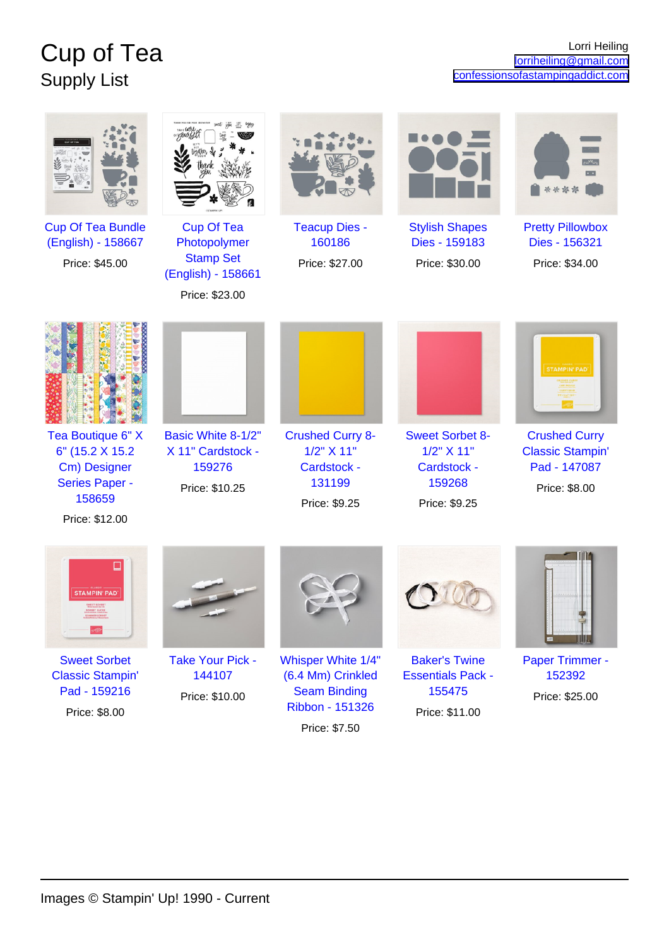## Cup of Tea Supply List

|                                                                                                            |                                                                                               |                                                                                                    |                                                                                | $\cdot$ .<br>****                                                                |
|------------------------------------------------------------------------------------------------------------|-----------------------------------------------------------------------------------------------|----------------------------------------------------------------------------------------------------|--------------------------------------------------------------------------------|----------------------------------------------------------------------------------|
| <b>Cup Of Tea Bundle</b><br>(English) - 158667<br>Price: \$45.00                                           | <b>Cup Of Tea</b><br>Photopolymer<br><b>Stamp Set</b><br>(English) - 158661<br>Price: \$23.00 | <b>Teacup Dies -</b><br>160186<br>Price: \$27.00                                                   | <b>Stylish Shapes</b><br>Dies - 159183<br>Price: \$30.00                       | <b>Pretty Pillowbox</b><br>Dies - 156321<br>Price: \$34.00                       |
|                                                                                                            |                                                                                               |                                                                                                    |                                                                                | <b>STAMPIN' PAD</b>                                                              |
| Tea Boutique 6" X<br>6" (15.2 X 15.2)<br>Cm) Designer<br><b>Series Paper -</b><br>158659<br>Price: \$12.00 | Basic White 8-1/2"<br>X 11" Cardstock -<br>159276<br>Price: \$10.25                           | <b>Crushed Curry 8-</b><br>1/2" X 11"<br>Cardstock -<br>131199<br>Price: \$9.25                    | <b>Sweet Sorbet 8-</b><br>1/2" X 11"<br>Cardstock -<br>159268<br>Price: \$9.25 | <b>Crushed Curry</b><br><b>Classic Stampin'</b><br>Pad - 147087<br>Price: \$8.00 |
|                                                                                                            |                                                                                               |                                                                                                    |                                                                                |                                                                                  |
| <b>Sweet Sorbet</b><br><b>Classic Stampin'</b><br>Pad - 159216<br>Price: \$8.00                            | <b>Take Your Pick -</b><br>144107<br>Price: \$10.00                                           | Whisper White 1/4"<br>(6.4 Mm) Crinkled<br><b>Seam Binding</b><br>Ribbon - 151326<br>Price: \$7.50 | <b>Baker's Twine</b><br><b>Essentials Pack -</b><br>155475<br>Price: \$11.00   | Paper Trimmer -<br>152392<br>Price: \$25.00                                      |